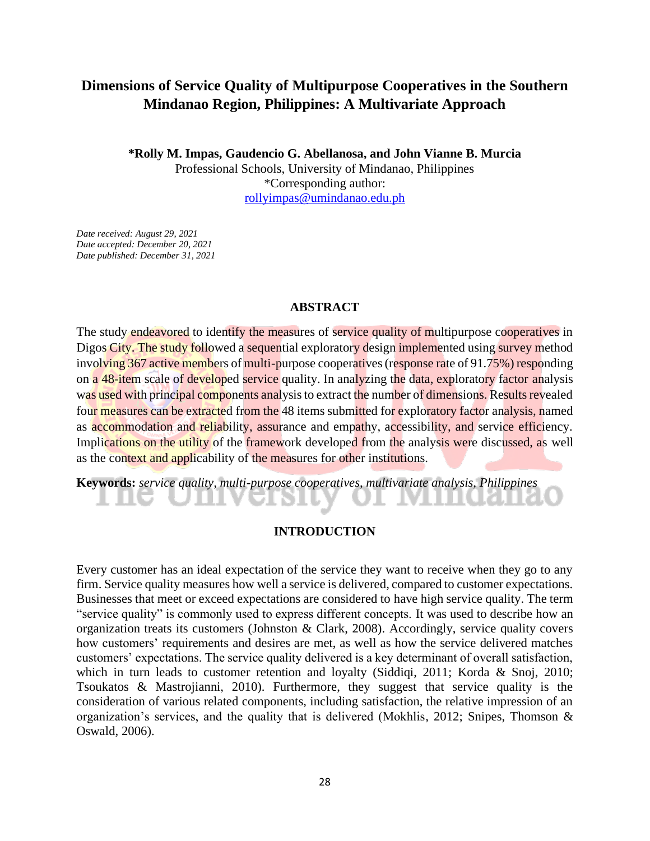## **Dimensions of Service Quality of Multipurpose Cooperatives in the Southern Mindanao Region, Philippines: A Multivariate Approach**

**\*Rolly M. Impas, Gaudencio G. Abellanosa, and John Vianne B. Murcia**

Professional Schools, University of Mindanao, Philippines \*Corresponding author: [rollyimpas@umindanao.edu.ph](mailto:rollyimpas@umindanao.edu.ph)

*Date received: August 29, 2021 Date accepted: December 20, 2021 Date published: December 31, 2021*

## **ABSTRACT**

The study endeavored to identify the measures of service quality of multipurpose cooperatives in Digos City. The study followed a sequential exploratory design implemented using survey method involving 367 active members of multi-purpose cooperatives (response rate of 91.75%) responding on a 48-item scale of developed service quality. In analyzing the data, exploratory factor analysis was used with principal components analysis to extract the number of dimensions. Results revealed four measures can be extracted from the 48 items submitted for exploratory factor analysis, named as accommodation and reliability, assurance and empathy, accessibility, and service efficiency. Implications on the utility of the framework developed from the analysis were discussed, as well as the context and applicability of the measures for other institutions.

**Keywords:** *service quality, multi-purpose cooperatives, multivariate analysis, Philippines*

## **INTRODUCTION**

Every customer has an ideal expectation of the service they want to receive when they go to any firm. Service quality measures how well a service is delivered, compared to customer expectations. Businesses that meet or exceed expectations are considered to have high service quality. The term "service quality" is commonly used to express different concepts. It was used to describe how an organization treats its customers (Johnston & Clark, 2008). Accordingly, service quality covers how customers' requirements and desires are met, as well as how the service delivered matches customers' expectations. The service quality delivered is a key determinant of overall satisfaction, which in turn leads to customer retention and loyalty (Siddiqi, 2011; Korda & Snoj, 2010; Tsoukatos & Mastrojianni, 2010). Furthermore, they suggest that service quality is the consideration of various related components, including satisfaction, the relative impression of an organization's services, and the quality that is delivered (Mokhlis, 2012; Snipes, Thomson & Oswald, 2006).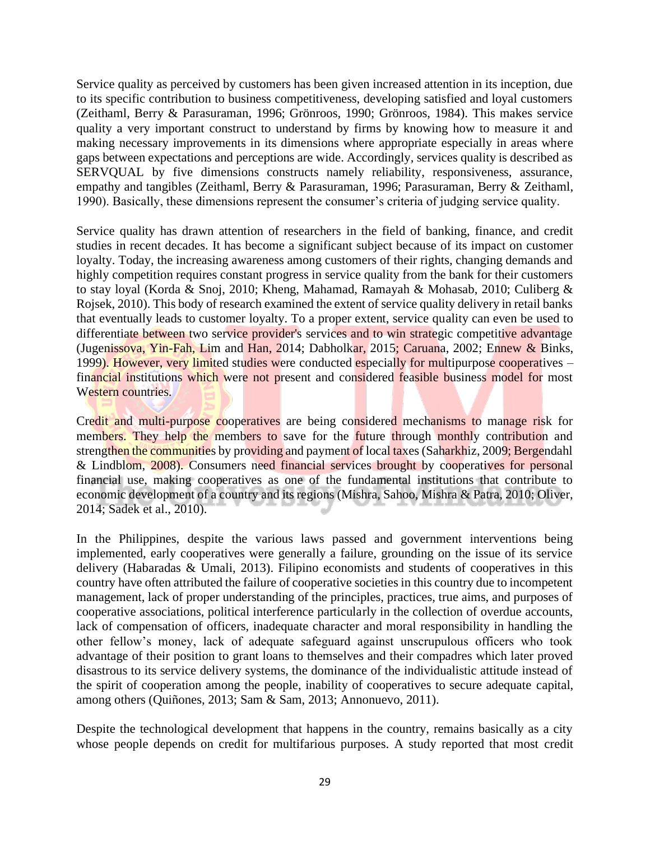Service quality as perceived by customers has been given increased attention in its inception, due to its specific contribution to business competitiveness, developing satisfied and loyal customers (Zeithaml, Berry & Parasuraman, 1996; Grönroos, 1990; Grönroos, 1984). This makes service quality a very important construct to understand by firms by knowing how to measure it and making necessary improvements in its dimensions where appropriate especially in areas where gaps between expectations and perceptions are wide. Accordingly, services quality is described as SERVQUAL by five dimensions constructs namely reliability, responsiveness, assurance, empathy and tangibles (Zeithaml, Berry & Parasuraman, 1996; Parasuraman, Berry & Zeithaml, 1990). Basically, these dimensions represent the consumer's criteria of judging service quality.

Service quality has drawn attention of researchers in the field of banking, finance, and credit studies in recent decades. It has become a significant subject because of its impact on customer loyalty. Today, the increasing awareness among customers of their rights, changing demands and highly competition requires constant progress in service quality from the bank for their customers to stay loyal (Korda & Snoj, 2010; Kheng, Mahamad, Ramayah & Mohasab, 2010; Culiberg & Rojsek, 2010). This body of research examined the extent of service quality delivery in retail banks that eventually leads to customer loyalty. To a proper extent, service quality can even be used to differentiate between two service provider's services and to win strategic competitive advantage (Jugenissova, Yin-Fah, Lim and Han, 2014; Dabholkar, 2015; Caruana, 2002; Ennew & Binks, 1999). However, very limited studies were conducted especially for multipurpose cooperatives – financial institutions which were not present and considered feasible business model for most Western countries.

Credit and multi-purpose cooperatives are being considered mechanisms to manage risk for members. They help the members to save for the future through monthly contribution and strengthen the communities by providing and payment of local taxes (Saharkhiz, 2009; Bergendahl & Lindblom, 2008). Consumers need financial services brought by cooperatives for personal financial use, making cooperatives as one of the fundamental institutions that contribute to economic development of a country and its regions (Mishra, Sahoo, Mishra & Patra, 2010; Oliver, 2014; Sadek et al., 2010).

In the Philippines, despite the various laws passed and government interventions being implemented, early cooperatives were generally a failure, grounding on the issue of its service delivery (Habaradas & Umali, 2013). Filipino economists and students of cooperatives in this country have often attributed the failure of cooperative societies in this country due to incompetent management, lack of proper understanding of the principles, practices, true aims, and purposes of cooperative associations, political interference particularly in the collection of overdue accounts, lack of compensation of officers, inadequate character and moral responsibility in handling the other fellow's money, lack of adequate safeguard against unscrupulous officers who took advantage of their position to grant loans to themselves and their compadres which later proved disastrous to its service delivery systems, the dominance of the individualistic attitude instead of the spirit of cooperation among the people, inability of cooperatives to secure adequate capital, among others (Quiñones, 2013; Sam & Sam, 2013; Annonuevo, 2011).

Despite the technological development that happens in the country, remains basically as a city whose people depends on credit for multifarious purposes. A study reported that most credit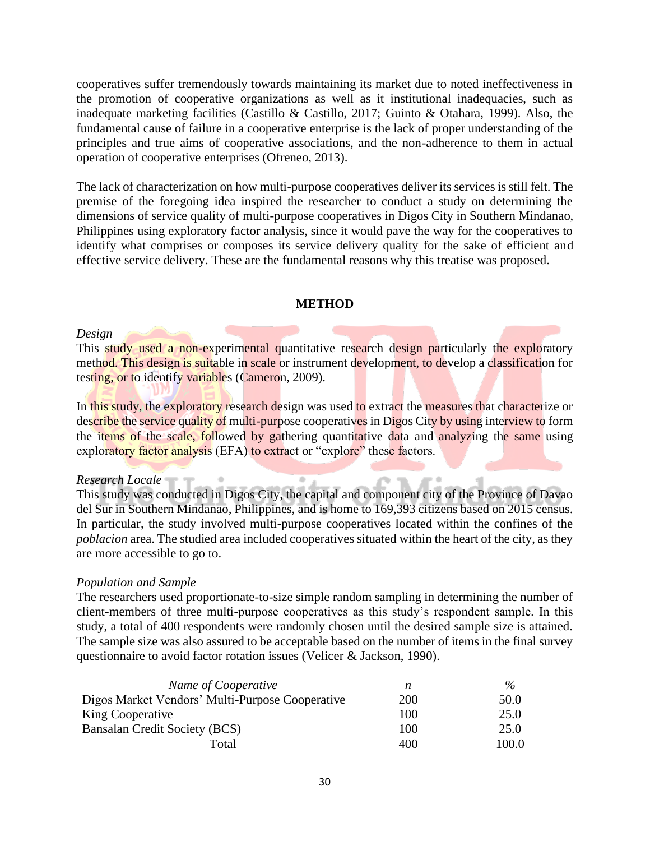cooperatives suffer tremendously towards maintaining its market due to noted ineffectiveness in the promotion of cooperative organizations as well as it institutional inadequacies, such as inadequate marketing facilities (Castillo & Castillo, 2017; Guinto & Otahara, 1999). Also, the fundamental cause of failure in a cooperative enterprise is the lack of proper understanding of the principles and true aims of cooperative associations, and the non-adherence to them in actual operation of cooperative enterprises (Ofreneo, 2013).

The lack of characterization on how multi-purpose cooperatives deliver its services is still felt. The premise of the foregoing idea inspired the researcher to conduct a study on determining the dimensions of service quality of multi-purpose cooperatives in Digos City in Southern Mindanao, Philippines using exploratory factor analysis, since it would pave the way for the cooperatives to identify what comprises or composes its service delivery quality for the sake of efficient and effective service delivery. These are the fundamental reasons why this treatise was proposed.

## **METHOD**

#### *Design*

This study used a non-experimental quantitative research design particularly the exploratory method. This design is suitable in scale or instrument development, to develop a classification for testing, or to identify variables (Cameron, 2009).

In this study, the exploratory research design was used to extract the measures that characterize or describe the service quality of multi-purpose cooperatives in Digos City by using interview to form the items of the scale, followed by gathering quantitative data and analyzing the same using exploratory factor analysis (EFA) to extract or "explore" these factors.

#### *Research Locale*

This study was conducted in Digos City, the capital and component city of the Province of Davao del Sur in Southern Mindanao, Philippines, and is home to 169,393 citizens based on 2015 census. In particular, the study involved multi-purpose cooperatives located within the confines of the *poblacion* area. The studied area included cooperatives situated within the heart of the city, as they are more accessible to go to.

#### *Population and Sample*

The researchers used proportionate-to-size simple random sampling in determining the number of client-members of three multi-purpose cooperatives as this study's respondent sample. In this study, a total of 400 respondents were randomly chosen until the desired sample size is attained. The sample size was also assured to be acceptable based on the number of items in the final survey questionnaire to avoid factor rotation issues (Velicer & Jackson, 1990).

| Name of Cooperative                             |     | $\frac{0}{2}$ |
|-------------------------------------------------|-----|---------------|
| Digos Market Vendors' Multi-Purpose Cooperative | 200 | 50.0          |
| King Cooperative                                | 100 | 25.0          |
| Bansalan Credit Society (BCS)                   | 100 | 25.0          |
| Total                                           | 400 | 100.0         |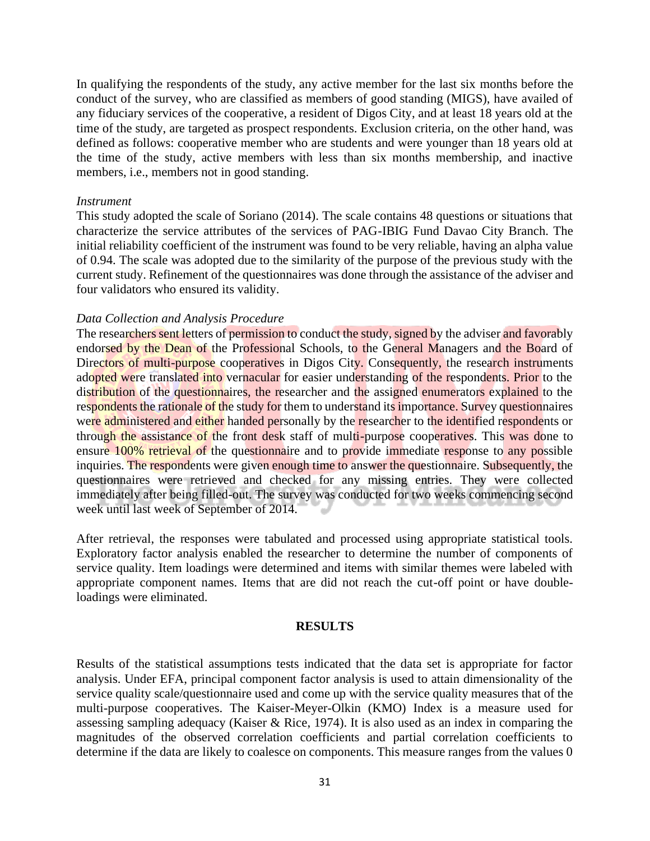In qualifying the respondents of the study, any active member for the last six months before the conduct of the survey, who are classified as members of good standing (MIGS), have availed of any fiduciary services of the cooperative, a resident of Digos City, and at least 18 years old at the time of the study, are targeted as prospect respondents. Exclusion criteria, on the other hand, was defined as follows: cooperative member who are students and were younger than 18 years old at the time of the study, active members with less than six months membership, and inactive members, i.e., members not in good standing.

#### *Instrument*

This study adopted the scale of Soriano (2014). The scale contains 48 questions or situations that characterize the service attributes of the services of PAG-IBIG Fund Davao City Branch. The initial reliability coefficient of the instrument was found to be very reliable, having an alpha value of 0.94. The scale was adopted due to the similarity of the purpose of the previous study with the current study. Refinement of the questionnaires was done through the assistance of the adviser and four validators who ensured its validity.

## *Data Collection and Analysis Procedure*

The researchers sent letters of permission to conduct the study, signed by the adviser and favorably endorsed by the Dean of the Professional Schools, to the General Managers and the Board of Directors of multi-purpose cooperatives in Digos City. Consequently, the research instruments adopted were translated into vernacular for easier understanding of the respondents. Prior to the distribution of the questionnaires, the researcher and the assigned enumerators explained to the respondents the rationale of the study for them to understand its importance. Survey questionnaires were administered and either handed personally by the researcher to the identified respondents or through the assistance of the front desk staff of multi-purpose cooperatives. This was done to ensure 100% retrieval of the questionnaire and to provide immediate response to any possible inquiries. The respondents were given enough time to answer the questionnaire. Subsequently, the questionnaires were retrieved and checked for any missing entries. They were collected immediately after being filled-out. The survey was conducted for two weeks commencing second week until last week of September of 2014.

After retrieval, the responses were tabulated and processed using appropriate statistical tools. Exploratory factor analysis enabled the researcher to determine the number of components of service quality. Item loadings were determined and items with similar themes were labeled with appropriate component names. Items that are did not reach the cut-off point or have doubleloadings were eliminated.

## **RESULTS**

Results of the statistical assumptions tests indicated that the data set is appropriate for factor analysis. Under EFA, principal component factor analysis is used to attain dimensionality of the service quality scale/questionnaire used and come up with the service quality measures that of the multi-purpose cooperatives. The Kaiser-Meyer-Olkin (KMO) Index is a measure used for assessing sampling adequacy (Kaiser & Rice, 1974). It is also used as an index in comparing the magnitudes of the observed correlation coefficients and partial correlation coefficients to determine if the data are likely to coalesce on components. This measure ranges from the values 0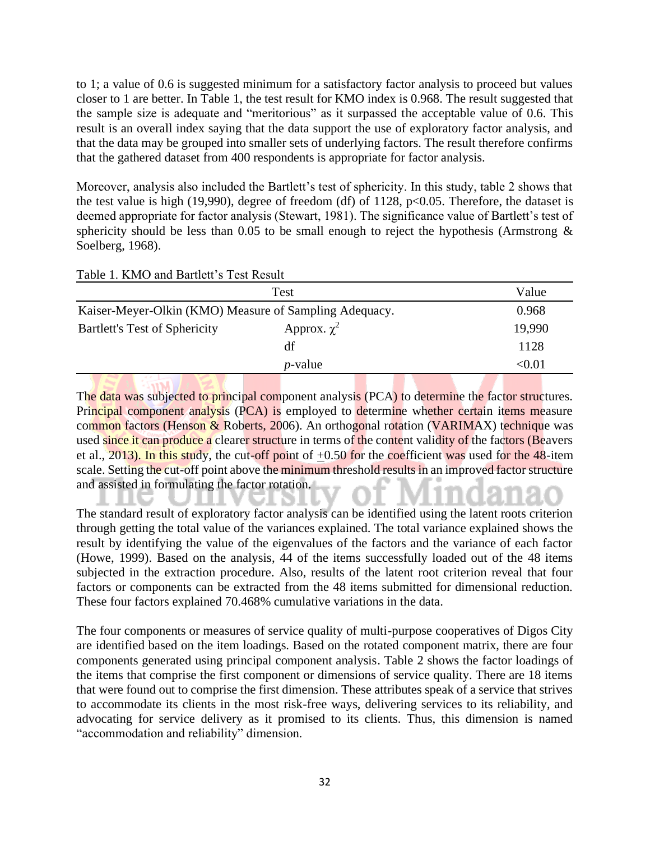to 1; a value of 0.6 is suggested minimum for a satisfactory factor analysis to proceed but values closer to 1 are better. In Table 1, the test result for KMO index is 0.968. The result suggested that the sample size is adequate and "meritorious" as it surpassed the acceptable value of 0.6. This result is an overall index saying that the data support the use of exploratory factor analysis, and that the data may be grouped into smaller sets of underlying factors. The result therefore confirms that the gathered dataset from 400 respondents is appropriate for factor analysis.

Moreover, analysis also included the Bartlett's test of sphericity. In this study, table 2 shows that the test value is high (19,990), degree of freedom (df) of 1128,  $p<0.05$ . Therefore, the dataset is deemed appropriate for factor analysis (Stewart, 1981). The significance value of Bartlett's test of sphericity should be less than 0.05 to be small enough to reject the hypothesis (Armstrong  $\&$ Soelberg, 1968).

|  |  |  |  | Table 1. KMO and Bartlett's Test Result |  |  |  |
|--|--|--|--|-----------------------------------------|--|--|--|
|--|--|--|--|-----------------------------------------|--|--|--|

|                                                        | Value            |        |  |
|--------------------------------------------------------|------------------|--------|--|
| Kaiser-Meyer-Olkin (KMO) Measure of Sampling Adequacy. |                  | 0.968  |  |
| <b>Bartlett's Test of Sphericity</b>                   | Approx. $\chi^2$ | 19,990 |  |
|                                                        | df               | 1128   |  |
|                                                        | <i>p</i> -value  | < 0.01 |  |

The data was subjected to principal component analysis (PCA) to determine the factor structures. Principal component analysis (PCA) is employed to determine whether certain items measure common factors (Henson & Roberts, 2006). An orthogonal rotation (VARIMAX) technique was used since it can produce a clearer structure in terms of the content validity of the factors (Beavers et al., 2013). In this study, the cut-off point of  $\pm 0.50$  for the coefficient was used for the 48-item scale. Setting the cut-off point above the minimum threshold results in an improved factor structure and assisted in formulating the factor rotation.

The standard result of exploratory factor analysis can be identified using the latent roots criterion through getting the total value of the variances explained. The total variance explained shows the result by identifying the value of the eigenvalues of the factors and the variance of each factor (Howe, 1999). Based on the analysis, 44 of the items successfully loaded out of the 48 items subjected in the extraction procedure. Also, results of the latent root criterion reveal that four factors or components can be extracted from the 48 items submitted for dimensional reduction. These four factors explained 70.468% cumulative variations in the data.

The four components or measures of service quality of multi-purpose cooperatives of Digos City are identified based on the item loadings. Based on the rotated component matrix, there are four components generated using principal component analysis. Table 2 shows the factor loadings of the items that comprise the first component or dimensions of service quality. There are 18 items that were found out to comprise the first dimension. These attributes speak of a service that strives to accommodate its clients in the most risk-free ways, delivering services to its reliability, and advocating for service delivery as it promised to its clients. Thus, this dimension is named "accommodation and reliability" dimension.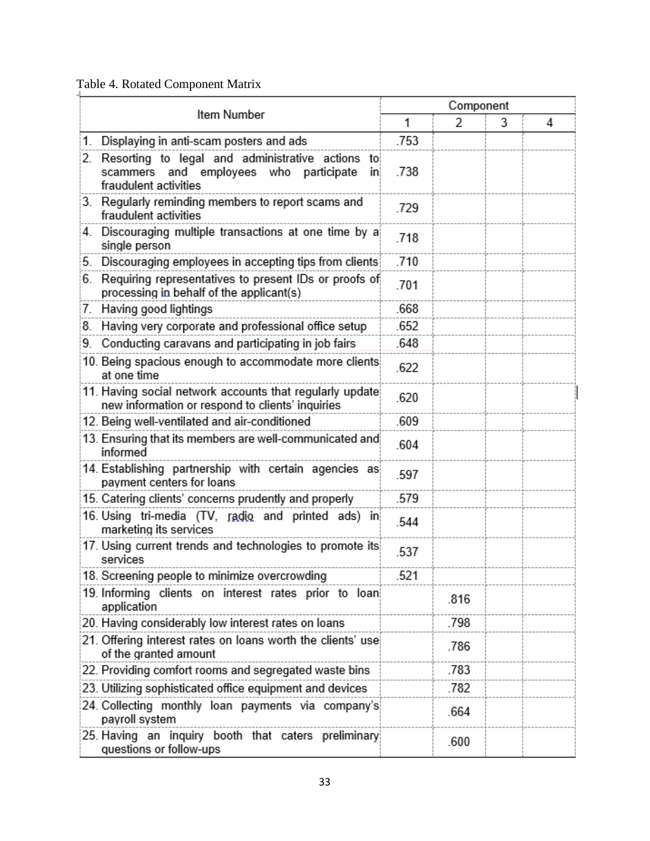# Table 4. Rotated Component Matrix

| Item Number                                                                                                                      |      | Component      |   |   |  |
|----------------------------------------------------------------------------------------------------------------------------------|------|----------------|---|---|--|
|                                                                                                                                  |      | $\overline{2}$ | 3 | 4 |  |
| Displaying in anti-scam posters and ads<br>1.                                                                                    | .753 |                |   |   |  |
| Resorting to legal and administrative actions to<br>2.<br>scammers and employees who participate<br>inj<br>fraudulent activities | .738 |                |   |   |  |
| 3. Regularly reminding members to report scams and<br>fraudulent activities                                                      | .729 |                |   |   |  |
| Discouraging multiple transactions at one time by a<br>4.<br>single person                                                       | .718 |                |   |   |  |
| Discouraging employees in accepting tips from clients<br>5.                                                                      | .710 |                |   |   |  |
| Requiring representatives to present IDs or proofs of<br>6.<br>processing in behalf of the applicant(s)                          | .701 |                |   |   |  |
| Having good lightings<br>7.                                                                                                      | .668 |                |   |   |  |
| Having very corporate and professional office setup<br>8.                                                                        | .652 |                |   |   |  |
| 9. Conducting caravans and participating in job fairs                                                                            | .648 |                |   |   |  |
| 10. Being spacious enough to accommodate more clients<br>at one time                                                             | .622 |                |   |   |  |
| 11. Having social network accounts that regularly update<br>new information or respond to clients' inquiries                     | .620 |                |   |   |  |
| 12. Being well-ventilated and air-conditioned                                                                                    | .609 |                |   |   |  |
| 13. Ensuring that its members are well-communicated and<br>informed                                                              | .604 |                |   |   |  |
| 14. Establishing partnership with certain agencies as<br>payment centers for loans                                               | .597 |                |   |   |  |
| 15. Catering clients' concerns prudently and properly                                                                            | .579 |                |   |   |  |
| 16. Using tri-media (TV, radio and printed ads) in<br>marketing its services                                                     | .544 |                |   |   |  |
| 17. Using current trends and technologies to promote its<br>services                                                             | .537 |                |   |   |  |
| 18. Screening people to minimize overcrowding                                                                                    | .521 |                |   |   |  |
| 19. Informing clients on interest rates prior to loan<br>application                                                             |      | .816           |   |   |  |
| 20. Having considerably low interest rates on loans                                                                              |      | .798           |   |   |  |
| 21. Offering interest rates on loans worth the clients' use<br>of the granted amount                                             |      | .786           |   |   |  |
| 22. Providing comfort rooms and segregated waste bins                                                                            |      | .783           |   |   |  |
| 23. Utilizing sophisticated office equipment and devices                                                                         |      | .782           |   |   |  |
| 24. Collecting monthly loan payments via company's<br>payroll system                                                             |      | .664           |   |   |  |
| 25. Having an inquiry booth that caters preliminary<br>questions or follow-ups                                                   |      | .600           |   |   |  |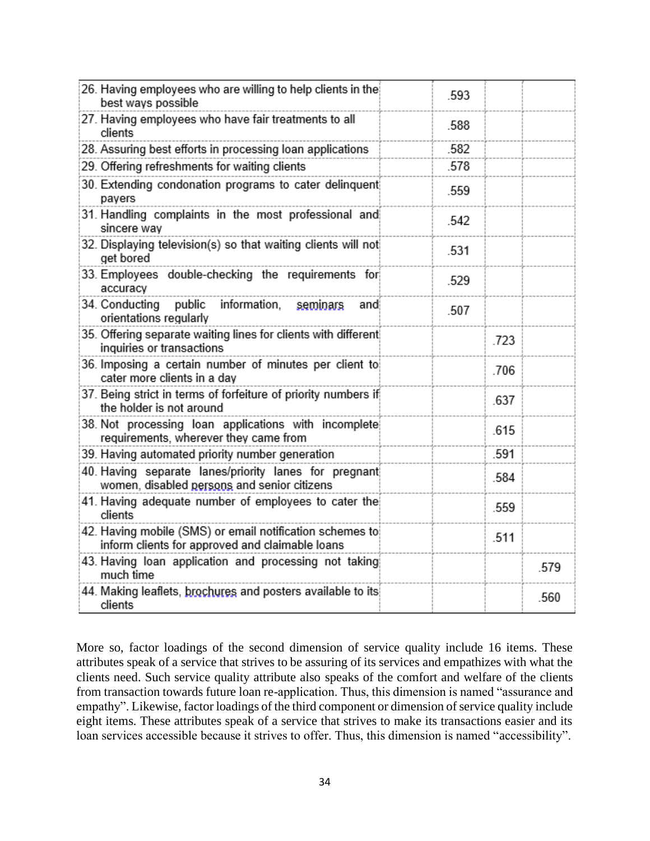| 26. Having employees who are willing to help clients in the<br>best ways possible                           | .593 |      |      |
|-------------------------------------------------------------------------------------------------------------|------|------|------|
| 27. Having employees who have fair treatments to all<br>clients                                             | .588 |      |      |
| 28. Assuring best efforts in processing loan applications                                                   | .582 |      |      |
| 29. Offering refreshments for waiting clients                                                               | .578 |      |      |
| 30. Extending condonation programs to cater delinquent<br>payers                                            | .559 |      |      |
| 31. Handling complaints in the most professional and<br>sincere way                                         | .542 |      |      |
| 32. Displaying television(s) so that waiting clients will not<br>get bored                                  | .531 |      |      |
| 33. Employees double-checking the requirements for<br>accuracy                                              | .529 |      |      |
| 34. Conducting public<br>information,<br>seminars<br>and<br>orientations regularly                          | .507 |      |      |
| 35. Offering separate waiting lines for clients with different<br>inquiries or transactions                 |      | .723 |      |
| 36. Imposing a certain number of minutes per client to<br>cater more clients in a day                       |      | .706 |      |
| 37. Being strict in terms of forfeiture of priority numbers if<br>the holder is not around                  |      | 637  |      |
| 38. Not processing loan applications with incomplete<br>requirements, wherever they came from               |      | .615 |      |
| 39. Having automated priority number generation                                                             |      | .591 |      |
| 40. Having separate lanes/priority lanes for pregnant<br>women, disabled persons and senior citizens        |      | .584 |      |
| 41. Having adequate number of employees to cater the<br>clients                                             |      | .559 |      |
| 42. Having mobile (SMS) or email notification schemes to<br>inform clients for approved and claimable loans |      | .511 |      |
| 43. Having loan application and processing not taking<br>much time                                          |      |      | .579 |
| 44. Making leaflets, brochures and posters available to its<br>clients                                      |      |      | .560 |

More so, factor loadings of the second dimension of service quality include 16 items. These attributes speak of a service that strives to be assuring of its services and empathizes with what the clients need. Such service quality attribute also speaks of the comfort and welfare of the clients from transaction towards future loan re-application. Thus, this dimension is named "assurance and empathy". Likewise, factor loadings of the third component or dimension of service quality include eight items. These attributes speak of a service that strives to make its transactions easier and its loan services accessible because it strives to offer. Thus, this dimension is named "accessibility".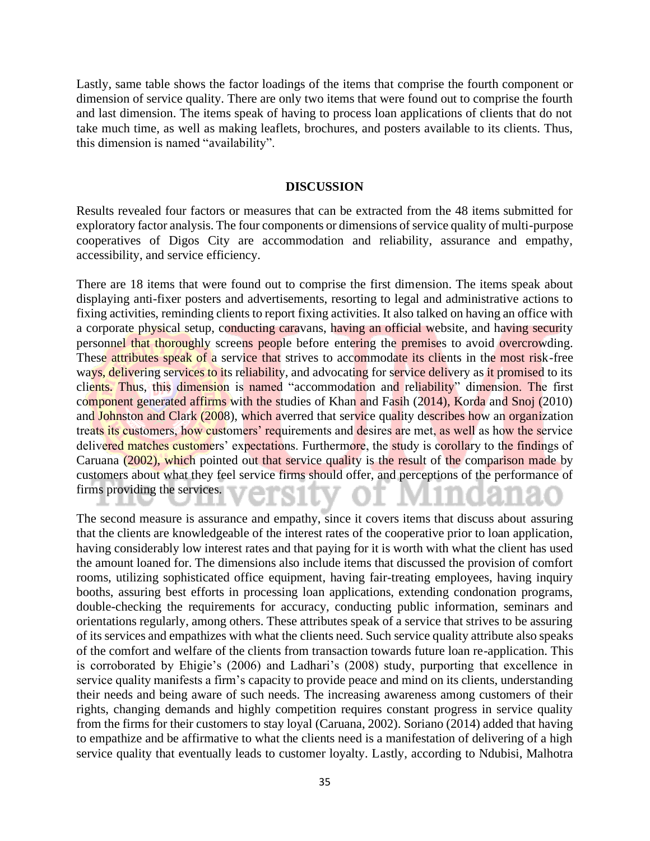Lastly, same table shows the factor loadings of the items that comprise the fourth component or dimension of service quality. There are only two items that were found out to comprise the fourth and last dimension. The items speak of having to process loan applications of clients that do not take much time, as well as making leaflets, brochures, and posters available to its clients. Thus, this dimension is named "availability".

## **DISCUSSION**

Results revealed four factors or measures that can be extracted from the 48 items submitted for exploratory factor analysis. The four components or dimensions of service quality of multi-purpose cooperatives of Digos City are accommodation and reliability, assurance and empathy, accessibility, and service efficiency.

There are 18 items that were found out to comprise the first dimension. The items speak about displaying anti-fixer posters and advertisements, resorting to legal and administrative actions to fixing activities, reminding clients to report fixing activities. It also talked on having an office with a corporate physical setup, conducting caravans, having an official website, and having security personnel that thoroughly screens people before entering the premises to avoid overcrowding. These attributes speak of a service that strives to accommodate its clients in the most risk-free ways, delivering services to its reliability, and advocating for service delivery as it promised to its clients. Thus, this dimension is named "accommodation and reliability" dimension. The first component generated affirms with the studies of Khan and Fasih (2014), Korda and Snoj (2010) and Johnston and Clark (2008), which averred that service quality describes how an organization treats its customers, how customers' requirements and desires are met, as well as how the service delivered matches customers' expectations. Furthermore, the study is corollary to the findings of Caruana (2002), which pointed out that service quality is the result of the comparison made by customers about what they feel service firms should offer, and perceptions of the performance of firms providing the services.

The second measure is assurance and empathy, since it covers items that discuss about assuring that the clients are knowledgeable of the interest rates of the cooperative prior to loan application, having considerably low interest rates and that paying for it is worth with what the client has used the amount loaned for. The dimensions also include items that discussed the provision of comfort rooms, utilizing sophisticated office equipment, having fair-treating employees, having inquiry booths, assuring best efforts in processing loan applications, extending condonation programs, double-checking the requirements for accuracy, conducting public information, seminars and orientations regularly, among others. These attributes speak of a service that strives to be assuring of its services and empathizes with what the clients need. Such service quality attribute also speaks of the comfort and welfare of the clients from transaction towards future loan re-application. This is corroborated by Ehigie's (2006) and Ladhari's (2008) study, purporting that excellence in service quality manifests a firm's capacity to provide peace and mind on its clients, understanding their needs and being aware of such needs. The increasing awareness among customers of their rights, changing demands and highly competition requires constant progress in service quality from the firms for their customers to stay loyal (Caruana, 2002). Soriano (2014) added that having to empathize and be affirmative to what the clients need is a manifestation of delivering of a high service quality that eventually leads to customer loyalty. Lastly, according to Ndubisi, Malhotra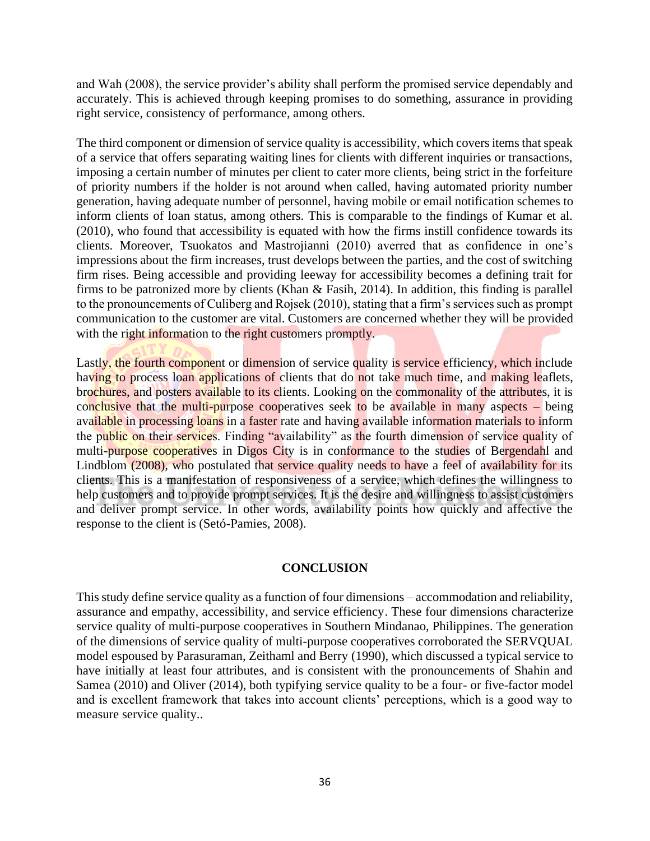and Wah (2008), the service provider's ability shall perform the promised service dependably and accurately. This is achieved through keeping promises to do something, assurance in providing right service, consistency of performance, among others.

The third component or dimension of service quality is accessibility, which covers items that speak of a service that offers separating waiting lines for clients with different inquiries or transactions, imposing a certain number of minutes per client to cater more clients, being strict in the forfeiture of priority numbers if the holder is not around when called, having automated priority number generation, having adequate number of personnel, having mobile or email notification schemes to inform clients of loan status, among others. This is comparable to the findings of Kumar et al. (2010), who found that accessibility is equated with how the firms instill confidence towards its clients. Moreover, Tsuokatos and Mastrojianni (2010) averred that as confidence in one's impressions about the firm increases, trust develops between the parties, and the cost of switching firm rises. Being accessible and providing leeway for accessibility becomes a defining trait for firms to be patronized more by clients (Khan & Fasih, 2014). In addition, this finding is parallel to the pronouncements of Culiberg and Rojsek (2010), stating that a firm's services such as prompt communication to the customer are vital. Customers are concerned whether they will be provided with the right information to the right customers promptly.

Lastly, the fourth component or dimension of service quality is service efficiency, which include having to process loan applications of clients that do not take much time, and making leaflets, brochures, and posters available to its clients. Looking on the commonality of the attributes, it is conclusive that the multi-purpose cooperatives seek to be available in many aspects  $-$  being available in processing loans in a faster rate and having available information materials to inform the public on their services. Finding "availability" as the fourth dimension of service quality of multi-purpose cooperatives in Digos City is in conformance to the studies of Bergendahl and Lindblom (2008), who postulated that service quality needs to have a feel of availability for its clients. This is a manifestation of responsiveness of a service, which defines the willingness to help customers and to provide prompt services. It is the desire and willingness to assist customers and deliver prompt service. In other words, availability points how quickly and affective the response to the client is (Setó-Pamies, 2008).

## **CONCLUSION**

This study define service quality as a function of four dimensions – accommodation and reliability, assurance and empathy, accessibility, and service efficiency. These four dimensions characterize service quality of multi-purpose cooperatives in Southern Mindanao, Philippines. The generation of the dimensions of service quality of multi-purpose cooperatives corroborated the SERVQUAL model espoused by Parasuraman, Zeithaml and Berry (1990), which discussed a typical service to have initially at least four attributes, and is consistent with the pronouncements of Shahin and Samea (2010) and Oliver (2014), both typifying service quality to be a four- or five-factor model and is excellent framework that takes into account clients' perceptions, which is a good way to measure service quality..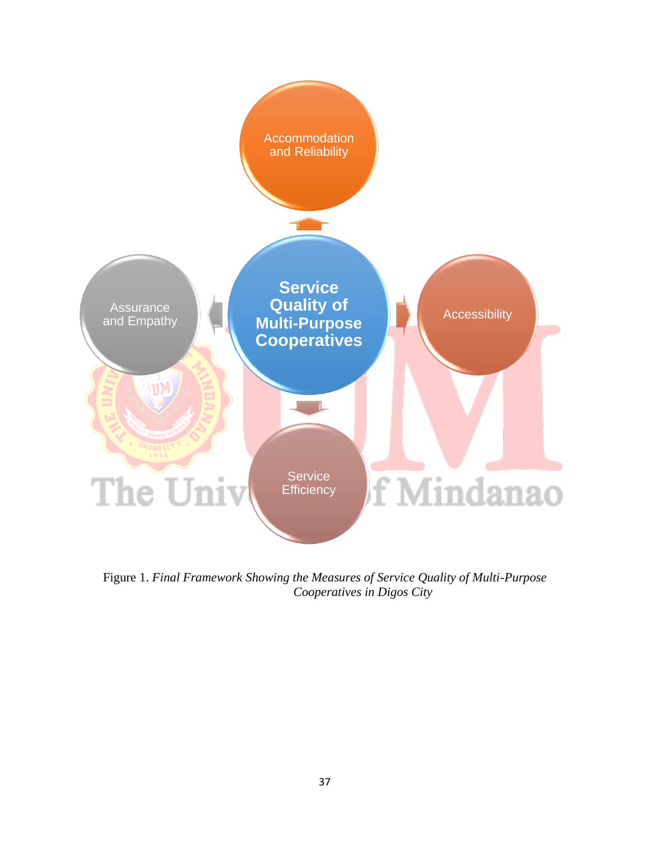

Figure 1. *Final Framework Showing the Measures of Service Quality of Multi-Purpose Cooperatives in Digos City*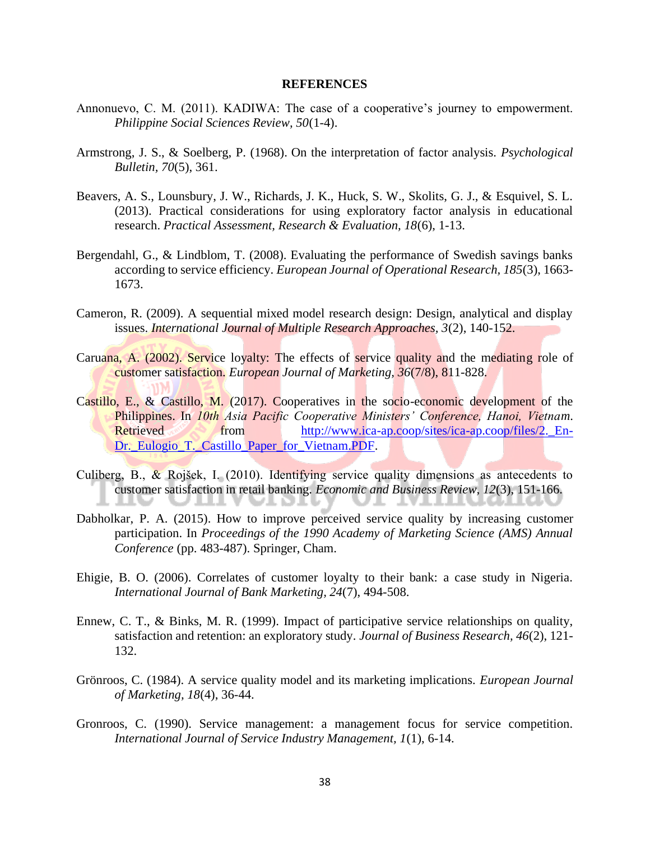#### **REFERENCES**

- Annonuevo, C. M. (2011). KADIWA: The case of a cooperative's journey to empowerment. *Philippine Social Sciences Review, 50*(1-4).
- Armstrong, J. S., & Soelberg, P. (1968). On the interpretation of factor analysis. *Psychological Bulletin, 70*(5), 361.
- Beavers, A. S., Lounsbury, J. W., Richards, J. K., Huck, S. W., Skolits, G. J., & Esquivel, S. L. (2013). Practical considerations for using exploratory factor analysis in educational research. *Practical Assessment, Research & Evaluation, 18*(6), 1-13.
- Bergendahl, G., & Lindblom, T. (2008). Evaluating the performance of Swedish savings banks according to service efficiency. *European Journal of Operational Research, 185*(3), 1663- 1673.
- Cameron, R. (2009). A sequential mixed model research design: Design, analytical and display issues. *International Journal of Multiple Research Approaches, 3*(2), 140-152.
- Caruana, A. (2002). Service loyalty: The effects of service quality and the mediating role of customer satisfaction. *European Journal of Marketing, 36*(7/8), 811-828.
- Castillo, E., & Castillo, M. (2017). Cooperatives in the socio-economic development of the Philippines. In *10th Asia Pacific Cooperative Ministers' Conference, Hanoi, Vietnam*. Retrieved from http://www.ica-ap.coop/sites/ica-ap.coop/files/2. En-[Dr.\\_Eulogio\\_T.\\_Castillo\\_Paper\\_for\\_Vietnam.PDF.](http://www.ica-ap.coop/sites/ica-ap.coop/files/2._En-Dr._Eulogio_T._Castillo_Paper_for_Vietnam.PDF)
- Culiberg, B., & Rojšek, I. (2010). Identifying service quality dimensions as antecedents to customer satisfaction in retail banking. *Economic and Business Review, 12*(3), 151-166.
- Dabholkar, P. A. (2015). How to improve perceived service quality by increasing customer participation. In *Proceedings of the 1990 Academy of Marketing Science (AMS) Annual Conference* (pp. 483-487). Springer, Cham.
- Ehigie, B. O. (2006). Correlates of customer loyalty to their bank: a case study in Nigeria. *International Journal of Bank Marketing, 24*(7), 494-508.
- Ennew, C. T., & Binks, M. R. (1999). Impact of participative service relationships on quality, satisfaction and retention: an exploratory study. *Journal of Business Research, 46*(2), 121- 132.
- Grönroos, C. (1984). A service quality model and its marketing implications. *European Journal of Marketing, 18*(4), 36-44.
- Gronroos, C. (1990). Service management: a management focus for service competition. *International Journal of Service Industry Management, 1*(1), 6-14.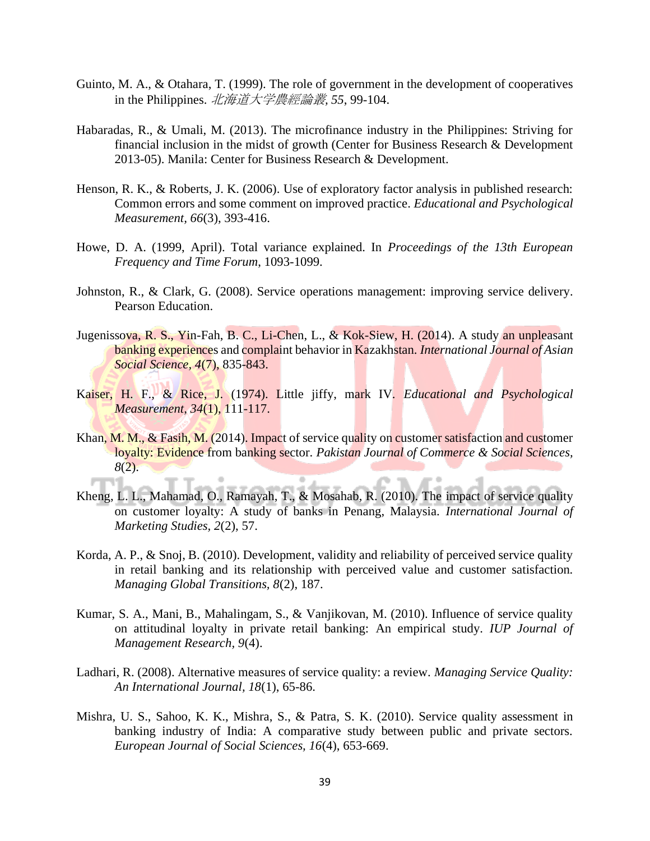- Guinto, M. A., & Otahara, T. (1999). The role of government in the development of cooperatives in the Philippines. 北海道大学農經論叢*, 55*, 99-104.
- Habaradas, R., & Umali, M. (2013). The microfinance industry in the Philippines: Striving for financial inclusion in the midst of growth (Center for Business Research & Development 2013-05). Manila: Center for Business Research & Development.
- Henson, R. K., & Roberts, J. K. (2006). Use of exploratory factor analysis in published research: Common errors and some comment on improved practice. *Educational and Psychological Measurement, 66*(3), 393-416.
- Howe, D. A. (1999, April). Total variance explained. In *Proceedings of the 13th European Frequency and Time Forum*, 1093-1099.
- Johnston, R., & Clark, G. (2008). Service operations management: improving service delivery. Pearson Education.
- Jugenissova, R. S., Yin-Fah, B. C., Li-Chen, L., & Kok-Siew, H. (2014). A study an unpleasant banking experiences and complaint behavior in Kazakhstan. *International Journal of Asian Social Science, 4*(7), 835-843.
- Kaiser, H. F., & Rice, J. (1974). Little jiffy, mark IV. *Educational and Psychological Measurement, 34*(1), 111-117.
- Khan, M. M., & Fasih, M. (2014). Impact of service quality on customer satisfaction and customer loyalty: Evidence from banking sector. *Pakistan Journal of Commerce & Social Sciences, 8*(2).

ö

- Kheng, L. L., Mahamad, O., Ramayah, T., & Mosahab, R. (2010). The impact of service quality on customer loyalty: A study of banks in Penang, Malaysia. *International Journal of Marketing Studies, 2*(2), 57.
- Korda, A. P., & Snoj, B. (2010). Development, validity and reliability of perceived service quality in retail banking and its relationship with perceived value and customer satisfaction. *Managing Global Transitions, 8*(2), 187.
- Kumar, S. A., Mani, B., Mahalingam, S., & Vanjikovan, M. (2010). Influence of service quality on attitudinal loyalty in private retail banking: An empirical study. *IUP Journal of Management Research, 9*(4).
- Ladhari, R. (2008). Alternative measures of service quality: a review. *Managing Service Quality: An International Journal, 18*(1), 65-86.
- Mishra, U. S., Sahoo, K. K., Mishra, S., & Patra, S. K. (2010). Service quality assessment in banking industry of India: A comparative study between public and private sectors. *European Journal of Social Sciences, 16*(4), 653-669.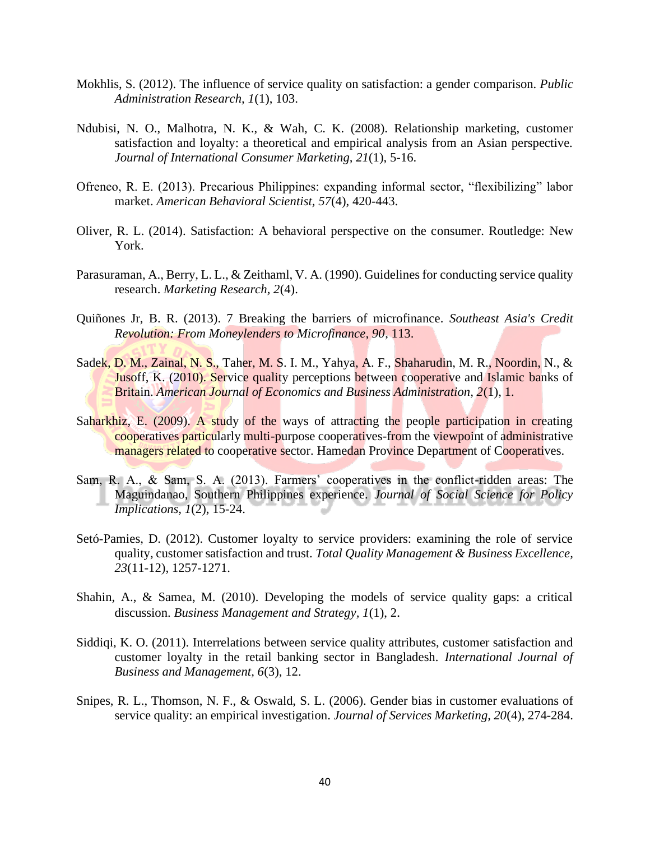- Mokhlis, S. (2012). The influence of service quality on satisfaction: a gender comparison. *Public Administration Research, 1*(1), 103.
- Ndubisi, N. O., Malhotra, N. K., & Wah, C. K. (2008). Relationship marketing, customer satisfaction and loyalty: a theoretical and empirical analysis from an Asian perspective. *Journal of International Consumer Marketing, 21*(1), 5-16.
- Ofreneo, R. E. (2013). Precarious Philippines: expanding informal sector, "flexibilizing" labor market. *American Behavioral Scientist, 57*(4), 420-443.
- Oliver, R. L. (2014). Satisfaction: A behavioral perspective on the consumer. Routledge: New York.
- Parasuraman, A., Berry, L. L., & Zeithaml, V. A. (1990). Guidelines for conducting service quality research. *Marketing Research, 2*(4).
- Quiñones Jr, B. R. (2013). 7 Breaking the barriers of microfinance. *Southeast Asia's Credit Revolution: From Moneylenders to Microfinance, 90*, 113.
- Sadek, D. M., Zainal, N. S., Taher, M. S. I. M., Yahya, A. F., Shaharudin, M. R., Noordin, N., & **Jusoff, K. (2010). Service quality perceptions between cooperative and Islamic banks of** Britain. *American Journal of Economics and Business Administration, 2*(1), 1.
- Saharkhiz, E. (2009). A study of the ways of attracting the people participation in creating cooperatives particularly multi-purpose cooperatives-from the viewpoint of administrative managers related to cooperative sector. Hamedan Province Department of Cooperatives.
- Sam, R. A., & Sam, S. A. (2013). Farmers' cooperatives in the conflict-ridden areas: The Maguindanao, Southern Philippines experience. *Journal of Social Science for Policy Implications, 1*(2), 15-24.
- Setó-Pamies, D. (2012). Customer loyalty to service providers: examining the role of service quality, customer satisfaction and trust. *Total Quality Management & Business Excellence, 23*(11-12), 1257-1271.
- Shahin, A., & Samea, M. (2010). Developing the models of service quality gaps: a critical discussion. *Business Management and Strategy, 1*(1), 2.
- Siddiqi, K. O. (2011). Interrelations between service quality attributes, customer satisfaction and customer loyalty in the retail banking sector in Bangladesh. *International Journal of Business and Management, 6*(3), 12.
- Snipes, R. L., Thomson, N. F., & Oswald, S. L. (2006). Gender bias in customer evaluations of service quality: an empirical investigation. *Journal of Services Marketing, 20*(4), 274-284.